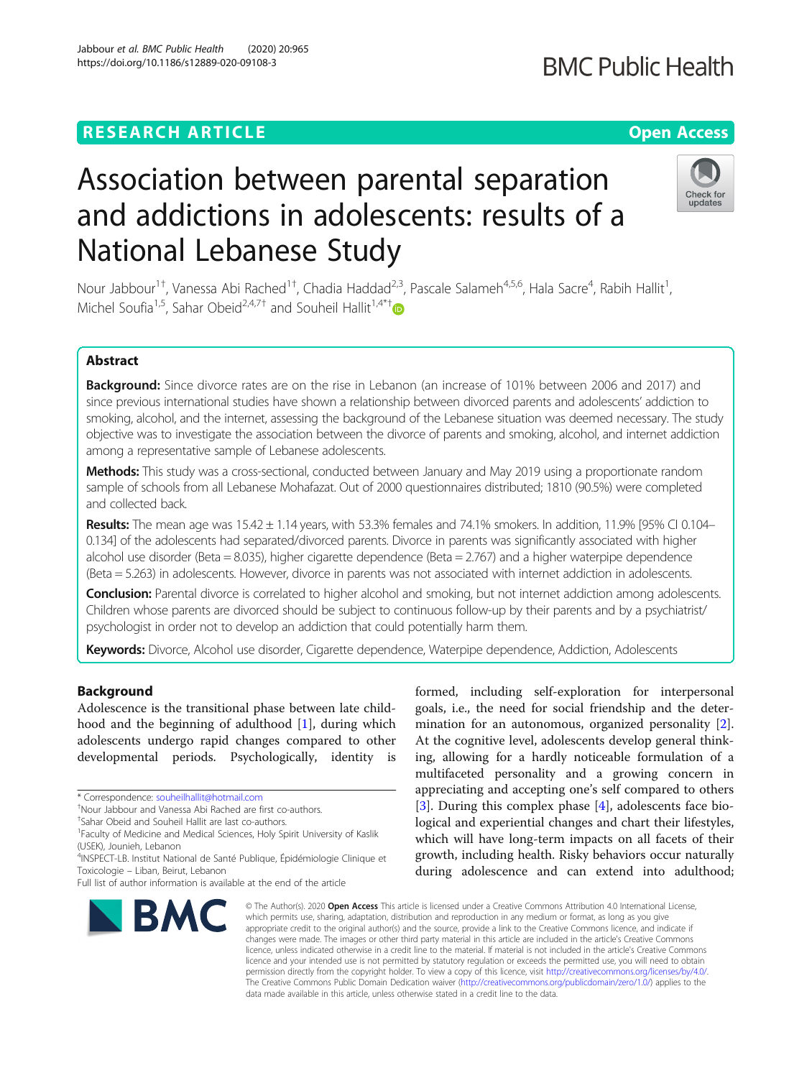## **RESEARCH ARTICLE Example 2014 12:30 The Contract of Contract ACCESS**

# Association between parental separation and addictions in adolescents: results of a National Lebanese Study

Nour Jabbour<sup>1†</sup>, Vanessa Abi Rached<sup>1†</sup>, Chadia Haddad<sup>2,3</sup>, Pascale Salameh<sup>4,5,6</sup>, Hala Sacre<sup>4</sup>, Rabih Hallit<sup>1</sup> , Michel Soufia<sup>1,5</sup>, Sahar Obeid<sup>2,4,7†</sup> and Souheil Hallit<sup>1,4\*†</sup>

### Abstract

Background: Since divorce rates are on the rise in Lebanon (an increase of 101% between 2006 and 2017) and since previous international studies have shown a relationship between divorced parents and adolescents' addiction to smoking, alcohol, and the internet, assessing the background of the Lebanese situation was deemed necessary. The study objective was to investigate the association between the divorce of parents and smoking, alcohol, and internet addiction among a representative sample of Lebanese adolescents.

Methods: This study was a cross-sectional, conducted between January and May 2019 using a proportionate random sample of schools from all Lebanese Mohafazat. Out of 2000 questionnaires distributed; 1810 (90.5%) were completed and collected back.

Results: The mean age was  $15.42 \pm 1.14$  years, with 53.3% females and 74.1% smokers. In addition, 11.9% [95% CI 0.104– 0.134] of the adolescents had separated/divorced parents. Divorce in parents was significantly associated with higher alcohol use disorder (Beta = 8.035), higher cigarette dependence (Beta = 2.767) and a higher waterpipe dependence (Beta = 5.263) in adolescents. However, divorce in parents was not associated with internet addiction in adolescents.

**Conclusion:** Parental divorce is correlated to higher alcohol and smoking, but not internet addiction among adolescents. Children whose parents are divorced should be subject to continuous follow-up by their parents and by a psychiatrist/ psychologist in order not to develop an addiction that could potentially harm them.

Keywords: Divorce, Alcohol use disorder, Cigarette dependence, Waterpipe dependence, Addiction, Adolescents

#### Background

Adolescence is the transitional phase between late childhood and the beginning of adulthood  $[1]$  $[1]$ , during which adolescents undergo rapid changes compared to other developmental periods. Psychologically, identity is

formed, including self-exploration for interpersonal goals, i.e., the need for social friendship and the determination for an autonomous, organized personality [\[2](#page-6-0)]. At the cognitive level, adolescents develop general thinking, allowing for a hardly noticeable formulation of a multifaceted personality and a growing concern in appreciating and accepting one's self compared to others [[3\]](#page-6-0). During this complex phase [\[4](#page-6-0)], adolescents face biological and experiential changes and chart their lifestyles, which will have long-term impacts on all facets of their growth, including health. Risky behaviors occur naturally during adolescence and can extend into adulthood;

© The Author(s), 2020 **Open Access** This article is licensed under a Creative Commons Attribution 4.0 International License, which permits use, sharing, adaptation, distribution and reproduction in any medium or format, as long as you give appropriate credit to the original author(s) and the source, provide a link to the Creative Commons licence, and indicate if changes were made. The images or other third party material in this article are included in the article's Creative Commons licence, unless indicated otherwise in a credit line to the material. If material is not included in the article's Creative Commons licence and your intended use is not permitted by statutory regulation or exceeds the permitted use, you will need to obtain permission directly from the copyright holder. To view a copy of this licence, visit [http://creativecommons.org/licenses/by/4.0/.](http://creativecommons.org/licenses/by/4.0/) The Creative Commons Public Domain Dedication waiver [\(http://creativecommons.org/publicdomain/zero/1.0/](http://creativecommons.org/publicdomain/zero/1.0/)) applies to the data made available in this article, unless otherwise stated in a credit line to the data.

<sup>1</sup> Faculty of Medicine and Medical Sciences, Holy Spirit University of Kaslik







<sup>\*</sup> Correspondence: [souheilhallit@hotmail.com](mailto:souheilhallit@hotmail.com) †

Nour Jabbour and Vanessa Abi Rached are first co-authors.

<sup>†</sup> Sahar Obeid and Souheil Hallit are last co-authors.

<sup>(</sup>USEK), Jounieh, Lebanon

<sup>&</sup>lt;sup>4</sup>INSPECT-LB. Institut National de Santé Publique, Épidémiologie Clinique et Toxicologie – Liban, Beirut, Lebanon

Full list of author information is available at the end of the article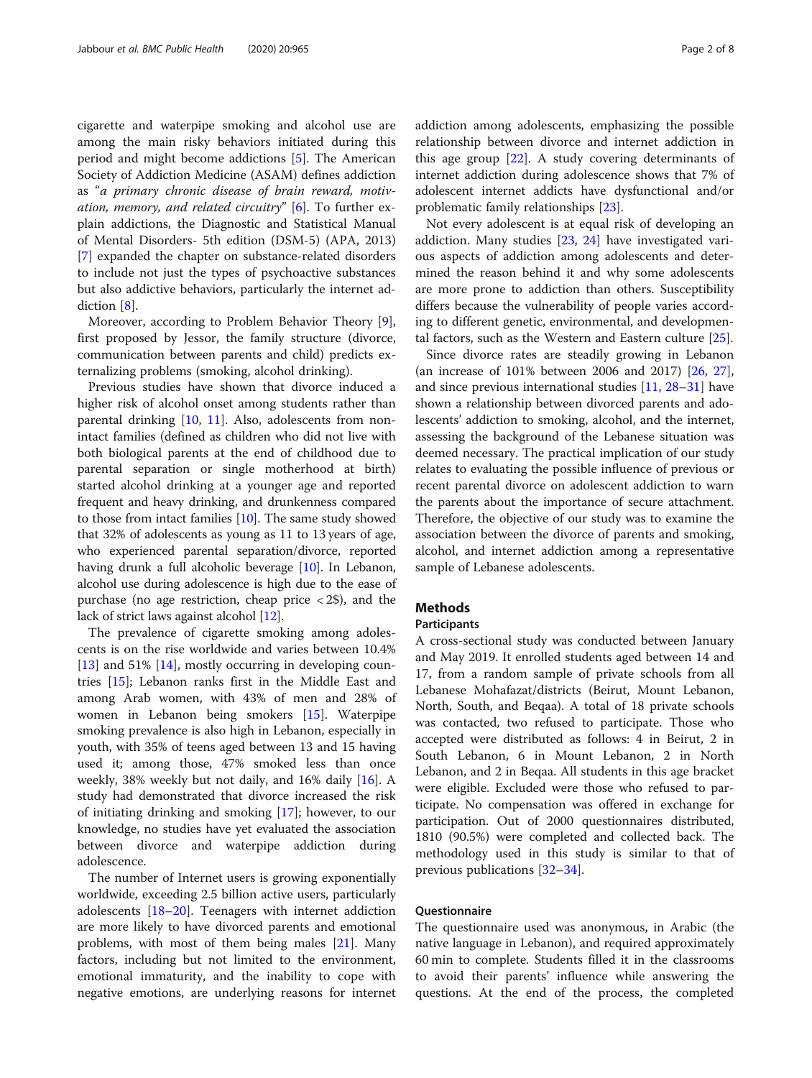cigarette and waterpipe smoking and alcohol use are among the main risky behaviors initiated during this period and might become addictions [[5\]](#page-6-0). The American Society of Addiction Medicine (ASAM) defines addiction as "a primary chronic disease of brain reward, motivation, memory, and related circuitry"  $[6]$  $[6]$ . To further explain addictions, the Diagnostic and Statistical Manual of Mental Disorders- 5th edition (DSM-5) (APA, 2013) [[7\]](#page-6-0) expanded the chapter on substance-related disorders to include not just the types of psychoactive substances but also addictive behaviors, particularly the internet addiction [\[8](#page-6-0)].

Moreover, according to Problem Behavior Theory [\[9](#page-6-0)], first proposed by Jessor, the family structure (divorce, communication between parents and child) predicts externalizing problems (smoking, alcohol drinking).

Previous studies have shown that divorce induced a higher risk of alcohol onset among students rather than parental drinking [[10,](#page-6-0) [11\]](#page-6-0). Also, adolescents from nonintact families (defined as children who did not live with both biological parents at the end of childhood due to parental separation or single motherhood at birth) started alcohol drinking at a younger age and reported frequent and heavy drinking, and drunkenness compared to those from intact families [\[10\]](#page-6-0). The same study showed that 32% of adolescents as young as 11 to 13 years of age, who experienced parental separation/divorce, reported having drunk a full alcoholic beverage [\[10\]](#page-6-0). In Lebanon, alcohol use during adolescence is high due to the ease of purchase (no age restriction, cheap price  $\langle 2\$ ), and the lack of strict laws against alcohol [\[12](#page-6-0)].

The prevalence of cigarette smoking among adolescents is on the rise worldwide and varies between 10.4% [[13\]](#page-6-0) and 51% [\[14](#page-6-0)], mostly occurring in developing countries [\[15](#page-6-0)]; Lebanon ranks first in the Middle East and among Arab women, with 43% of men and 28% of women in Lebanon being smokers [\[15](#page-6-0)]. Waterpipe smoking prevalence is also high in Lebanon, especially in youth, with 35% of teens aged between 13 and 15 having used it; among those, 47% smoked less than once weekly, 38% weekly but not daily, and 16% daily [[16\]](#page-6-0). A study had demonstrated that divorce increased the risk of initiating drinking and smoking [\[17\]](#page-6-0); however, to our knowledge, no studies have yet evaluated the association between divorce and waterpipe addiction during adolescence.

The number of Internet users is growing exponentially worldwide, exceeding 2.5 billion active users, particularly adolescents [\[18](#page-6-0)–[20\]](#page-6-0). Teenagers with internet addiction are more likely to have divorced parents and emotional problems, with most of them being males [\[21\]](#page-6-0). Many factors, including but not limited to the environment, emotional immaturity, and the inability to cope with negative emotions, are underlying reasons for internet addiction among adolescents, emphasizing the possible relationship between divorce and internet addiction in this age group [\[22](#page-6-0)]. A study covering determinants of internet addiction during adolescence shows that 7% of adolescent internet addicts have dysfunctional and/or problematic family relationships [\[23](#page-6-0)].

Not every adolescent is at equal risk of developing an addiction. Many studies [[23,](#page-6-0) [24\]](#page-6-0) have investigated various aspects of addiction among adolescents and determined the reason behind it and why some adolescents are more prone to addiction than others. Susceptibility differs because the vulnerability of people varies according to different genetic, environmental, and developmental factors, such as the Western and Eastern culture [[25\]](#page-6-0).

Since divorce rates are steadily growing in Lebanon (an increase of 101% between 2006 and 2017) [\[26](#page-6-0), [27](#page-6-0)], and since previous international studies [\[11](#page-6-0), [28](#page-6-0)–[31\]](#page-6-0) have shown a relationship between divorced parents and adolescents' addiction to smoking, alcohol, and the internet, assessing the background of the Lebanese situation was deemed necessary. The practical implication of our study relates to evaluating the possible influence of previous or recent parental divorce on adolescent addiction to warn the parents about the importance of secure attachment. Therefore, the objective of our study was to examine the association between the divorce of parents and smoking, alcohol, and internet addiction among a representative sample of Lebanese adolescents.

#### **Methods**

#### **Participants**

A cross-sectional study was conducted between January and May 2019. It enrolled students aged between 14 and 17, from a random sample of private schools from all Lebanese Mohafazat/districts (Beirut, Mount Lebanon, North, South, and Beqaa). A total of 18 private schools was contacted, two refused to participate. Those who accepted were distributed as follows: 4 in Beirut, 2 in South Lebanon, 6 in Mount Lebanon, 2 in North Lebanon, and 2 in Beqaa. All students in this age bracket were eligible. Excluded were those who refused to participate. No compensation was offered in exchange for participation. Out of 2000 questionnaires distributed, 1810 (90.5%) were completed and collected back. The methodology used in this study is similar to that of previous publications [[32](#page-6-0)–[34](#page-6-0)].

#### Questionnaire

The questionnaire used was anonymous, in Arabic (the native language in Lebanon), and required approximately 60 min to complete. Students filled it in the classrooms to avoid their parents' influence while answering the questions. At the end of the process, the completed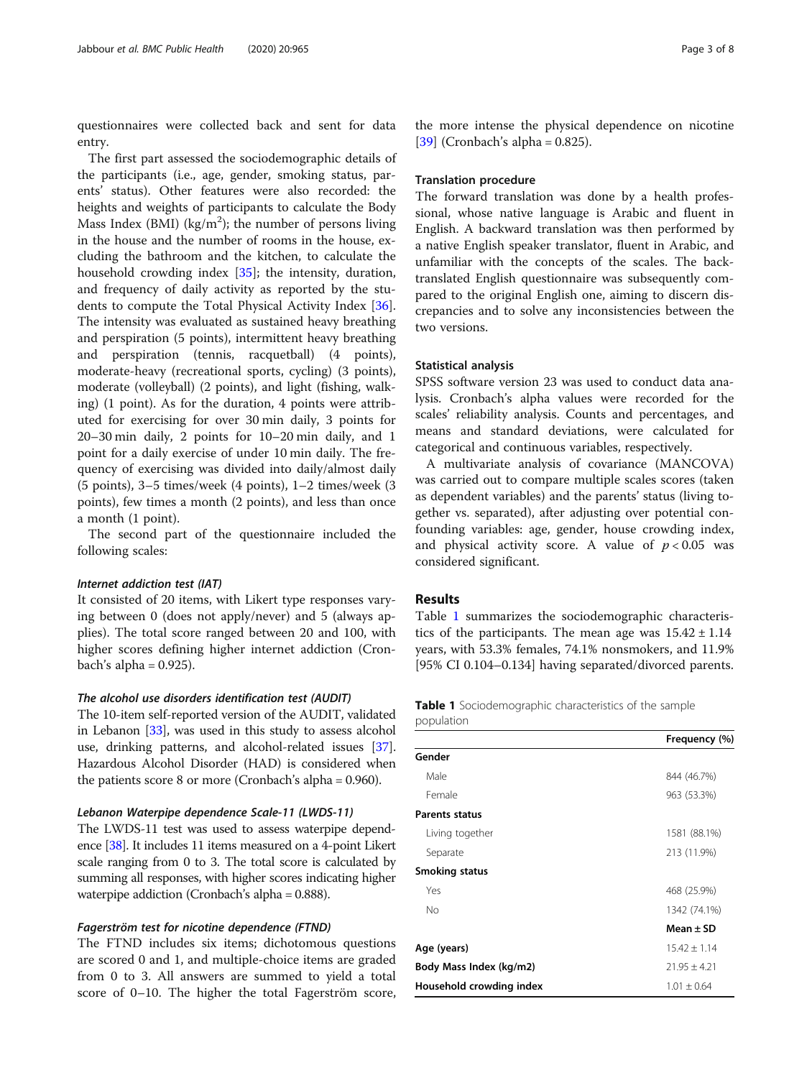questionnaires were collected back and sent for data entry.

The first part assessed the sociodemographic details of the participants (i.e., age, gender, smoking status, parents' status). Other features were also recorded: the heights and weights of participants to calculate the Body Mass Index (BMI) ( $\text{kg/m}^2$ ); the number of persons living in the house and the number of rooms in the house, excluding the bathroom and the kitchen, to calculate the household crowding index [\[35](#page-7-0)]; the intensity, duration, and frequency of daily activity as reported by the students to compute the Total Physical Activity Index [\[36](#page-7-0)]. The intensity was evaluated as sustained heavy breathing and perspiration (5 points), intermittent heavy breathing and perspiration (tennis, racquetball) (4 points), moderate-heavy (recreational sports, cycling) (3 points), moderate (volleyball) (2 points), and light (fishing, walking) (1 point). As for the duration, 4 points were attributed for exercising for over 30 min daily, 3 points for 20–30 min daily, 2 points for 10–20 min daily, and 1 point for a daily exercise of under 10 min daily. The frequency of exercising was divided into daily/almost daily (5 points), 3–5 times/week (4 points), 1–2 times/week (3 points), few times a month (2 points), and less than once a month (1 point).

The second part of the questionnaire included the following scales:

#### Internet addiction test (IAT)

It consisted of 20 items, with Likert type responses varying between 0 (does not apply/never) and 5 (always applies). The total score ranged between 20 and 100, with higher scores defining higher internet addiction (Cronbach's alpha  $= 0.925$ ).

#### The alcohol use disorders identification test (AUDIT)

The 10-item self-reported version of the AUDIT, validated in Lebanon [[33](#page-6-0)], was used in this study to assess alcohol use, drinking patterns, and alcohol-related issues [[37](#page-7-0)]. Hazardous Alcohol Disorder (HAD) is considered when the patients score 8 or more (Cronbach's alpha = 0.960).

#### Lebanon Waterpipe dependence Scale-11 (LWDS-11)

The LWDS-11 test was used to assess waterpipe dependence [\[38\]](#page-7-0). It includes 11 items measured on a 4-point Likert scale ranging from 0 to 3. The total score is calculated by summing all responses, with higher scores indicating higher waterpipe addiction (Cronbach's alpha = 0.888).

### Fagerström test for nicotine dependence (FTND)

The FTND includes six items; dichotomous questions are scored 0 and 1, and multiple-choice items are graded from 0 to 3. All answers are summed to yield a total score of 0–10. The higher the total Fagerström score,

the more intense the physical dependence on nicotine [[39\]](#page-7-0) (Cronbach's alpha =  $0.825$ ).

#### Translation procedure

The forward translation was done by a health professional, whose native language is Arabic and fluent in English. A backward translation was then performed by a native English speaker translator, fluent in Arabic, and unfamiliar with the concepts of the scales. The backtranslated English questionnaire was subsequently compared to the original English one, aiming to discern discrepancies and to solve any inconsistencies between the two versions.

#### Statistical analysis

SPSS software version 23 was used to conduct data analysis. Cronbach's alpha values were recorded for the scales' reliability analysis. Counts and percentages, and means and standard deviations, were calculated for categorical and continuous variables, respectively.

A multivariate analysis of covariance (MANCOVA) was carried out to compare multiple scales scores (taken as dependent variables) and the parents' status (living together vs. separated), after adjusting over potential confounding variables: age, gender, house crowding index, and physical activity score. A value of  $p < 0.05$  was considered significant.

#### Results

Table 1 summarizes the sociodemographic characteristics of the participants. The mean age was  $15.42 \pm 1.14$ years, with 53.3% females, 74.1% nonsmokers, and 11.9% [95% CI 0.104–0.134] having separated/divorced parents.

Table 1 Sociodemographic characteristics of the sample population

| 844 (46.7%)    |
|----------------|
| 963 (53.3%)    |
|                |
| 1581 (88.1%)   |
| 213 (11.9%)    |
|                |
| 468 (25.9%)    |
| 1342 (74.1%)   |
| Mean $\pm$ SD  |
| $15.42 + 1.14$ |
| $21.95 + 4.21$ |
| $1.01 + 0.64$  |
|                |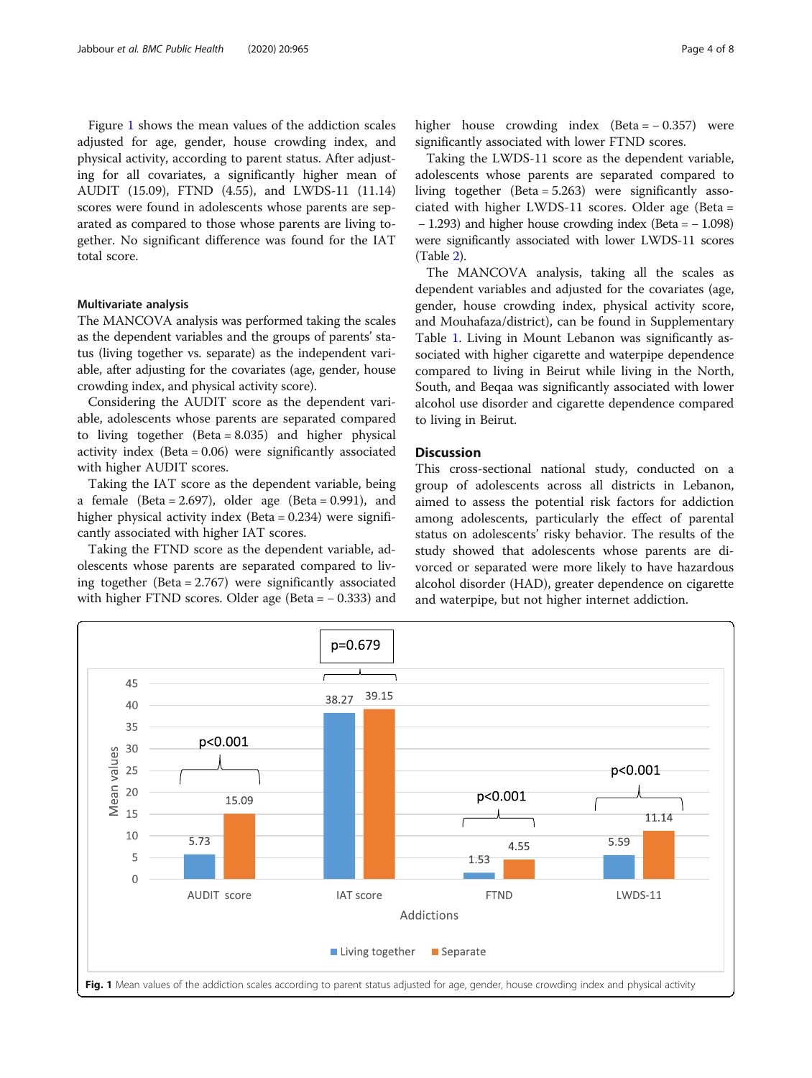Figure 1 shows the mean values of the addiction scales adjusted for age, gender, house crowding index, and physical activity, according to parent status. After adjusting for all covariates, a significantly higher mean of AUDIT (15.09), FTND (4.55), and LWDS-11 (11.14) scores were found in adolescents whose parents are separated as compared to those whose parents are living together. No significant difference was found for the IAT total score.

#### Multivariate analysis

The MANCOVA analysis was performed taking the scales as the dependent variables and the groups of parents' status (living together vs. separate) as the independent variable, after adjusting for the covariates (age, gender, house crowding index, and physical activity score).

Considering the AUDIT score as the dependent variable, adolescents whose parents are separated compared to living together (Beta = 8.035) and higher physical activity index (Beta = 0.06) were significantly associated with higher AUDIT scores.

Taking the IAT score as the dependent variable, being a female (Beta =  $2.697$ ), older age (Beta = 0.991), and higher physical activity index (Beta = 0.234) were significantly associated with higher IAT scores.

Taking the FTND score as the dependent variable, adolescents whose parents are separated compared to living together (Beta = 2.767) were significantly associated with higher FTND scores. Older age (Beta = − 0.333) and higher house crowding index (Beta = − 0.357) were significantly associated with lower FTND scores.

Taking the LWDS-11 score as the dependent variable, adolescents whose parents are separated compared to living together (Beta = 5.263) were significantly associated with higher LWDS-11 scores. Older age (Beta = − 1.293) and higher house crowding index (Beta = − 1.098) were significantly associated with lower LWDS-11 scores (Table [2](#page-4-0)).

The MANCOVA analysis, taking all the scales as dependent variables and adjusted for the covariates (age, gender, house crowding index, physical activity score, and Mouhafaza/district), can be found in Supplementary Table [1.](#page-5-0) Living in Mount Lebanon was significantly associated with higher cigarette and waterpipe dependence compared to living in Beirut while living in the North, South, and Beqaa was significantly associated with lower alcohol use disorder and cigarette dependence compared to living in Beirut.

#### **Discussion**

This cross-sectional national study, conducted on a group of adolescents across all districts in Lebanon, aimed to assess the potential risk factors for addiction among adolescents, particularly the effect of parental status on adolescents' risky behavior. The results of the study showed that adolescents whose parents are divorced or separated were more likely to have hazardous alcohol disorder (HAD), greater dependence on cigarette and waterpipe, but not higher internet addiction.

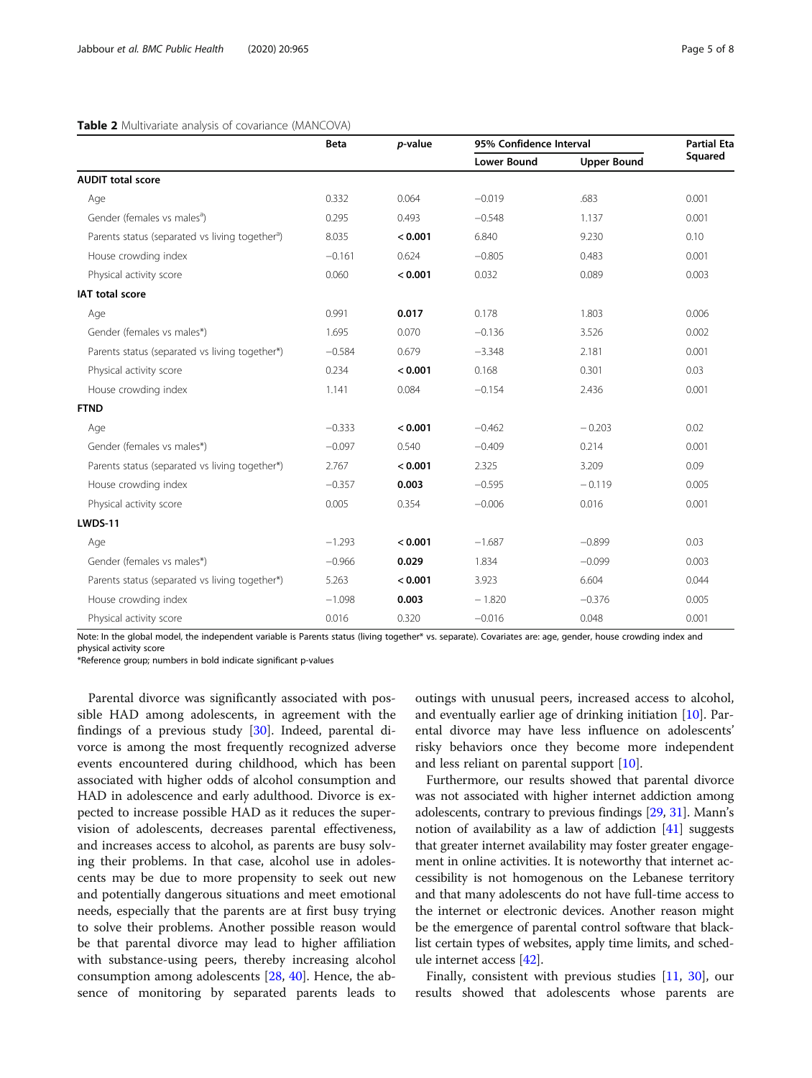#### <span id="page-4-0"></span>Table 2 Multivariate analysis of covariance (MANCOVA)

|                                                             | <b>Beta</b> |         | p-value            | 95% Confidence Interval |       | <b>Partial Eta</b><br>Squared |
|-------------------------------------------------------------|-------------|---------|--------------------|-------------------------|-------|-------------------------------|
|                                                             |             |         | <b>Lower Bound</b> | <b>Upper Bound</b>      |       |                               |
| <b>AUDIT total score</b>                                    |             |         |                    |                         |       |                               |
| Age                                                         | 0.332       | 0.064   | $-0.019$           | .683                    | 0.001 |                               |
| Gender (females vs males <sup>a</sup> )                     | 0.295       | 0.493   | $-0.548$           | 1.137                   | 0.001 |                               |
| Parents status (separated vs living together <sup>a</sup> ) | 8.035       | < 0.001 | 6.840              | 9.230                   | 0.10  |                               |
| House crowding index                                        | $-0.161$    | 0.624   | $-0.805$           | 0.483                   | 0.001 |                               |
| Physical activity score                                     | 0.060       | < 0.001 | 0.032              | 0.089                   | 0.003 |                               |
| <b>IAT total score</b>                                      |             |         |                    |                         |       |                               |
| Age                                                         | 0.991       | 0.017   | 0.178              | 1.803                   | 0.006 |                               |
| Gender (females vs males*)                                  | 1.695       | 0.070   | $-0.136$           | 3.526                   | 0.002 |                               |
| Parents status (separated vs living together*)              | $-0.584$    | 0.679   | $-3.348$           | 2.181                   | 0.001 |                               |
| Physical activity score                                     | 0.234       | < 0.001 | 0.168              | 0.301                   | 0.03  |                               |
| House crowding index                                        | 1.141       | 0.084   | $-0.154$           | 2.436                   | 0.001 |                               |
| <b>FTND</b>                                                 |             |         |                    |                         |       |                               |
| Age                                                         | $-0.333$    | < 0.001 | $-0.462$           | $-0.203$                | 0.02  |                               |
| Gender (females vs males*)                                  | $-0.097$    | 0.540   | $-0.409$           | 0.214                   | 0.001 |                               |
| Parents status (separated vs living together*)              | 2.767       | < 0.001 | 2.325              | 3.209                   | 0.09  |                               |
| House crowding index                                        | $-0.357$    | 0.003   | $-0.595$           | $-0.119$                | 0.005 |                               |
| Physical activity score                                     | 0.005       | 0.354   | $-0.006$           | 0.016                   | 0.001 |                               |
| <b>LWDS-11</b>                                              |             |         |                    |                         |       |                               |
| Age                                                         | $-1.293$    | < 0.001 | $-1.687$           | $-0.899$                | 0.03  |                               |
| Gender (females vs males*)                                  | $-0.966$    | 0.029   | 1.834              | $-0.099$                | 0.003 |                               |
| Parents status (separated vs living together*)              | 5.263       | < 0.001 | 3.923              | 6.604                   | 0.044 |                               |
| House crowding index                                        | $-1.098$    | 0.003   | $-1.820$           | $-0.376$                | 0.005 |                               |
| Physical activity score                                     | 0.016       | 0.320   | $-0.016$           | 0.048                   | 0.001 |                               |

Note: In the global model, the independent variable is Parents status (living together\* vs. separate). Covariates are: age, gender, house crowding index and physical activity score

\*Reference group; numbers in bold indicate significant p-values

Parental divorce was significantly associated with possible HAD among adolescents, in agreement with the findings of a previous study [[30\]](#page-6-0). Indeed, parental divorce is among the most frequently recognized adverse events encountered during childhood, which has been associated with higher odds of alcohol consumption and HAD in adolescence and early adulthood. Divorce is expected to increase possible HAD as it reduces the supervision of adolescents, decreases parental effectiveness, and increases access to alcohol, as parents are busy solving their problems. In that case, alcohol use in adolescents may be due to more propensity to seek out new and potentially dangerous situations and meet emotional needs, especially that the parents are at first busy trying to solve their problems. Another possible reason would be that parental divorce may lead to higher affiliation with substance-using peers, thereby increasing alcohol consumption among adolescents [\[28,](#page-6-0) [40\]](#page-7-0). Hence, the absence of monitoring by separated parents leads to

outings with unusual peers, increased access to alcohol, and eventually earlier age of drinking initiation [\[10](#page-6-0)]. Parental divorce may have less influence on adolescents' risky behaviors once they become more independent and less reliant on parental support [[10](#page-6-0)].

Furthermore, our results showed that parental divorce was not associated with higher internet addiction among adolescents, contrary to previous findings [[29](#page-6-0), [31\]](#page-6-0). Mann's notion of availability as a law of addiction [[41](#page-7-0)] suggests that greater internet availability may foster greater engagement in online activities. It is noteworthy that internet accessibility is not homogenous on the Lebanese territory and that many adolescents do not have full-time access to the internet or electronic devices. Another reason might be the emergence of parental control software that blacklist certain types of websites, apply time limits, and schedule internet access [[42\]](#page-7-0).

Finally, consistent with previous studies [[11,](#page-6-0) [30\]](#page-6-0), our results showed that adolescents whose parents are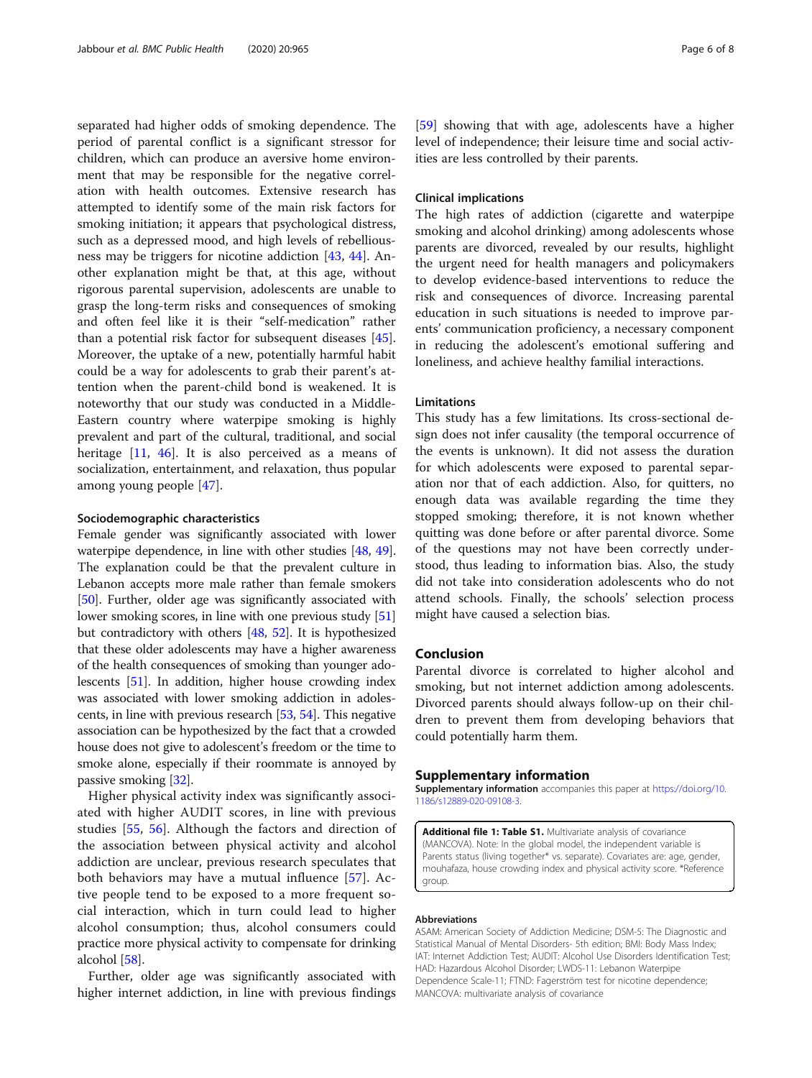<span id="page-5-0"></span>separated had higher odds of smoking dependence. The period of parental conflict is a significant stressor for children, which can produce an aversive home environment that may be responsible for the negative correlation with health outcomes. Extensive research has attempted to identify some of the main risk factors for smoking initiation; it appears that psychological distress, such as a depressed mood, and high levels of rebelliousness may be triggers for nicotine addiction [[43,](#page-7-0) [44\]](#page-7-0). Another explanation might be that, at this age, without rigorous parental supervision, adolescents are unable to grasp the long-term risks and consequences of smoking and often feel like it is their "self-medication" rather than a potential risk factor for subsequent diseases [\[45](#page-7-0)]. Moreover, the uptake of a new, potentially harmful habit could be a way for adolescents to grab their parent's attention when the parent-child bond is weakened. It is noteworthy that our study was conducted in a Middle-Eastern country where waterpipe smoking is highly prevalent and part of the cultural, traditional, and social heritage  $[11, 46]$  $[11, 46]$  $[11, 46]$ . It is also perceived as a means of socialization, entertainment, and relaxation, thus popular among young people [\[47](#page-7-0)].

#### Sociodemographic characteristics

Female gender was significantly associated with lower waterpipe dependence, in line with other studies [[48](#page-7-0), [49](#page-7-0)]. The explanation could be that the prevalent culture in Lebanon accepts more male rather than female smokers [[50](#page-7-0)]. Further, older age was significantly associated with lower smoking scores, in line with one previous study [[51](#page-7-0)] but contradictory with others [\[48,](#page-7-0) [52](#page-7-0)]. It is hypothesized that these older adolescents may have a higher awareness of the health consequences of smoking than younger adolescents [[51](#page-7-0)]. In addition, higher house crowding index was associated with lower smoking addiction in adolescents, in line with previous research [\[53](#page-7-0), [54](#page-7-0)]. This negative association can be hypothesized by the fact that a crowded house does not give to adolescent's freedom or the time to smoke alone, especially if their roommate is annoyed by passive smoking [\[32\]](#page-6-0).

Higher physical activity index was significantly associated with higher AUDIT scores, in line with previous studies [[55,](#page-7-0) [56](#page-7-0)]. Although the factors and direction of the association between physical activity and alcohol addiction are unclear, previous research speculates that both behaviors may have a mutual influence [[57\]](#page-7-0). Active people tend to be exposed to a more frequent social interaction, which in turn could lead to higher alcohol consumption; thus, alcohol consumers could practice more physical activity to compensate for drinking alcohol [\[58\]](#page-7-0).

Further, older age was significantly associated with higher internet addiction, in line with previous findings

[[59\]](#page-7-0) showing that with age, adolescents have a higher level of independence; their leisure time and social activities are less controlled by their parents.

#### Clinical implications

The high rates of addiction (cigarette and waterpipe smoking and alcohol drinking) among adolescents whose parents are divorced, revealed by our results, highlight the urgent need for health managers and policymakers to develop evidence-based interventions to reduce the risk and consequences of divorce. Increasing parental education in such situations is needed to improve parents' communication proficiency, a necessary component in reducing the adolescent's emotional suffering and loneliness, and achieve healthy familial interactions.

#### Limitations

This study has a few limitations. Its cross-sectional design does not infer causality (the temporal occurrence of the events is unknown). It did not assess the duration for which adolescents were exposed to parental separation nor that of each addiction. Also, for quitters, no enough data was available regarding the time they stopped smoking; therefore, it is not known whether quitting was done before or after parental divorce. Some of the questions may not have been correctly understood, thus leading to information bias. Also, the study did not take into consideration adolescents who do not attend schools. Finally, the schools' selection process might have caused a selection bias.

#### Conclusion

Parental divorce is correlated to higher alcohol and smoking, but not internet addiction among adolescents. Divorced parents should always follow-up on their children to prevent them from developing behaviors that could potentially harm them.

#### Supplementary information

Supplementary information accompanies this paper at [https://doi.org/10.](https://doi.org/10.1186/s12889-020-09108-3) [1186/s12889-020-09108-3](https://doi.org/10.1186/s12889-020-09108-3).

Additional file 1: Table S1. Multivariate analysis of covariance (MANCOVA). Note: In the global model, the independent variable is Parents status (living together\* vs. separate). Covariates are: age, gender, mouhafaza, house crowding index and physical activity score. \*Reference group.

#### Abbreviations

ASAM: American Society of Addiction Medicine; DSM-5: The Diagnostic and Statistical Manual of Mental Disorders- 5th edition; BMI: Body Mass Index; IAT: Internet Addiction Test; AUDIT: Alcohol Use Disorders Identification Test; HAD: Hazardous Alcohol Disorder; LWDS-11: Lebanon Waterpipe Dependence Scale-11; FTND: Fagerström test for nicotine dependence; MANCOVA: multivariate analysis of covariance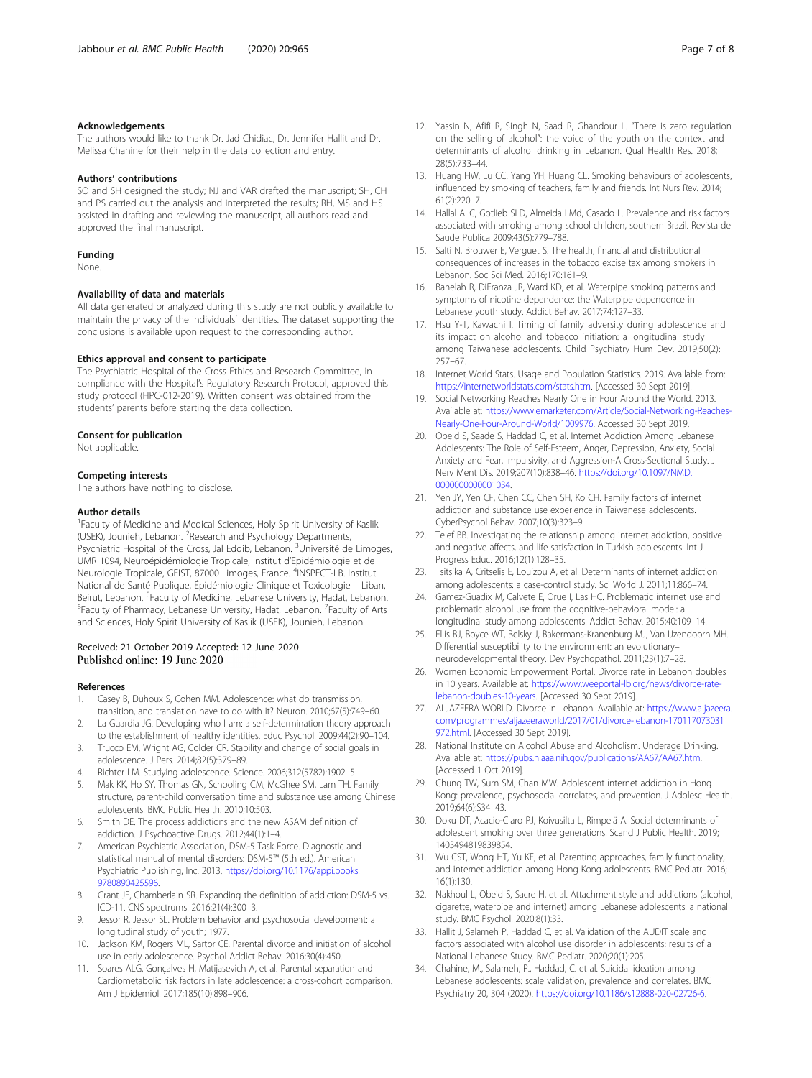#### <span id="page-6-0"></span>Acknowledgements

The authors would like to thank Dr. Jad Chidiac, Dr. Jennifer Hallit and Dr. Melissa Chahine for their help in the data collection and entry.

#### Authors' contributions

SO and SH designed the study; NJ and VAR drafted the manuscript; SH, CH and PS carried out the analysis and interpreted the results; RH, MS and HS assisted in drafting and reviewing the manuscript; all authors read and approved the final manuscript.

#### Funding

None.

#### Availability of data and materials

All data generated or analyzed during this study are not publicly available to maintain the privacy of the individuals' identities. The dataset supporting the conclusions is available upon request to the corresponding author.

#### Ethics approval and consent to participate

The Psychiatric Hospital of the Cross Ethics and Research Committee, in compliance with the Hospital's Regulatory Research Protocol, approved this study protocol (HPC-012-2019). Written consent was obtained from the students' parents before starting the data collection.

#### Consent for publication

Not applicable.

#### Competing interests

The authors have nothing to disclose.

#### Author details

<sup>1</sup> Faculty of Medicine and Medical Sciences, Holy Spirit University of Kaslik (USEK), Jounieh, Lebanon. <sup>2</sup>Research and Psychology Departments, Psychiatric Hospital of the Cross, Jal Eddib, Lebanon. <sup>3</sup>Université de Limoges, UMR 1094, Neuroépidémiologie Tropicale, Institut d'Epidémiologie et de Neurologie Tropicale, GEIST, 87000 Limoges, France. <sup>4</sup>INSPECT-LB. Institut National de Santé Publique, Épidémiologie Clinique et Toxicologie – Liban, Beirut, Lebanon. <sup>5</sup>Faculty of Medicine, Lebanese University, Hadat, Lebanon.<br><sup>6</sup>Faculty of Pharmacy Lebanese University, Hadat, Lebanon. <sup>7</sup>Faculty of Arts Faculty of Pharmacy, Lebanese University, Hadat, Lebanon. <sup>7</sup>Faculty of Arts and Sciences, Holy Spirit University of Kaslik (USEK), Jounieh, Lebanon.

#### Received: 21 October 2019 Accepted: 12 June 2020 Published online: 19 June 2020

#### References

- 1. Casey B, Duhoux S, Cohen MM. Adolescence: what do transmission, transition, and translation have to do with it? Neuron. 2010;67(5):749–60.
- 2. La Guardia JG. Developing who I am: a self-determination theory approach to the establishment of healthy identities. Educ Psychol. 2009;44(2):90–104.
- 3. Trucco EM, Wright AG, Colder CR. Stability and change of social goals in adolescence. J Pers. 2014;82(5):379–89.
- 4. Richter LM. Studying adolescence. Science. 2006;312(5782):1902–5.
- 5. Mak KK, Ho SY, Thomas GN, Schooling CM, McGhee SM, Lam TH. Family structure, parent-child conversation time and substance use among Chinese adolescents. BMC Public Health. 2010;10:503.
- 6. Smith DE. The process addictions and the new ASAM definition of addiction. J Psychoactive Drugs. 2012;44(1):1–4.
- 7. American Psychiatric Association, DSM-5 Task Force. Diagnostic and statistical manual of mental disorders: DSM-5™ (5th ed.). American Psychiatric Publishing, Inc. 2013. [https://doi.org/10.1176/appi.books.](https://doi.org/10.1176/appi.books.9780890425596) [9780890425596](https://doi.org/10.1176/appi.books.9780890425596).
- 8. Grant JE, Chamberlain SR. Expanding the definition of addiction: DSM-5 vs. ICD-11. CNS spectrums. 2016;21(4):300–3.
- 9. Jessor R, Jessor SL. Problem behavior and psychosocial development: a longitudinal study of youth; 1977.
- 10. Jackson KM, Rogers ML, Sartor CE. Parental divorce and initiation of alcohol use in early adolescence. Psychol Addict Behav. 2016;30(4):450.
- 11. Soares ALG, Gonçalves H, Matijasevich A, et al. Parental separation and Cardiometabolic risk factors in late adolescence: a cross-cohort comparison. Am J Epidemiol. 2017;185(10):898–906.
- 12. Yassin N, Afifi R, Singh N, Saad R, Ghandour L. "There is zero regulation on the selling of alcohol": the voice of the youth on the context and determinants of alcohol drinking in Lebanon. Qual Health Res. 2018; 28(5):733–44.
- 13. Huang HW, Lu CC, Yang YH, Huang CL. Smoking behaviours of adolescents, influenced by smoking of teachers, family and friends. Int Nurs Rev. 2014; 61(2):220–7.
- 14. Hallal ALC, Gotlieb SLD, Almeida LMd, Casado L. Prevalence and risk factors associated with smoking among school children, southern Brazil. Revista de Saude Publica 2009;43(5):779–788.
- 15. Salti N, Brouwer E, Verguet S. The health, financial and distributional consequences of increases in the tobacco excise tax among smokers in Lebanon. Soc Sci Med. 2016;170:161–9.
- 16. Bahelah R, DiFranza JR, Ward KD, et al. Waterpipe smoking patterns and symptoms of nicotine dependence: the Waterpipe dependence in Lebanese youth study. Addict Behav. 2017;74:127–33.
- 17. Hsu Y-T, Kawachi I. Timing of family adversity during adolescence and its impact on alcohol and tobacco initiation: a longitudinal study among Taiwanese adolescents. Child Psychiatry Hum Dev. 2019;50(2): 257–67.
- 18. Internet World Stats. Usage and Population Statistics. 2019. Available from: [https://internetworldstats.com/stats.htm.](https://internetworldstats.com/stats.htm) [Accessed 30 Sept 2019].
- 19. Social Networking Reaches Nearly One in Four Around the World. 2013. Available at: [https://www.emarketer.com/Article/Social-Networking-Reaches-](https://www.emarketer.com/Article/Social-Networking-Reaches-Nearly-One-Four-Around-World/1009976)[Nearly-One-Four-Around-World/1009976](https://www.emarketer.com/Article/Social-Networking-Reaches-Nearly-One-Four-Around-World/1009976). Accessed 30 Sept 2019.
- 20. Obeid S, Saade S, Haddad C, et al. Internet Addiction Among Lebanese Adolescents: The Role of Self-Esteem, Anger, Depression, Anxiety, Social Anxiety and Fear, Impulsivity, and Aggression-A Cross-Sectional Study. J Nerv Ment Dis. 2019;207(10):838–46. [https://doi.org/10.1097/NMD.](https://doi.org/10.1097/NMD.0000000000001034) [0000000000001034](https://doi.org/10.1097/NMD.0000000000001034).
- 21. Yen JY, Yen CF, Chen CC, Chen SH, Ko CH. Family factors of internet addiction and substance use experience in Taiwanese adolescents. CyberPsychol Behav. 2007;10(3):323–9.
- 22. Telef BB. Investigating the relationship among internet addiction, positive and negative affects, and life satisfaction in Turkish adolescents. Int J Progress Educ. 2016;12(1):128–35.
- 23. Tsitsika A, Critselis E, Louizou A, et al. Determinants of internet addiction among adolescents: a case-control study. Sci World J. 2011;11:866–74.
- 24. Gamez-Guadix M, Calvete E, Orue I, Las HC. Problematic internet use and problematic alcohol use from the cognitive-behavioral model: a longitudinal study among adolescents. Addict Behav. 2015;40:109–14.
- 25. Ellis BJ, Boyce WT, Belsky J, Bakermans-Kranenburg MJ, Van IJzendoorn MH. Differential susceptibility to the environment: an evolutionary– neurodevelopmental theory. Dev Psychopathol. 2011;23(1):7–28.
- 26. Women Economic Empowerment Portal. Divorce rate in Lebanon doubles in 10 years. Available at: [https://www.weeportal-lb.org/news/divorce-rate](https://www.weeportal-lb.org/news/divorce-rate-lebanon-doubles-10-years)[lebanon-doubles-10-years](https://www.weeportal-lb.org/news/divorce-rate-lebanon-doubles-10-years). [Accessed 30 Sept 2019].
- 27. ALJAZEERA WORLD. Divorce in Lebanon. Available at: [https://www.aljazeera.](https://www.aljazeera.com/programmes/aljazeeraworld/2017/01/divorce-lebanon-170117073031972.html) [com/programmes/aljazeeraworld/2017/01/divorce-lebanon-170117073031](https://www.aljazeera.com/programmes/aljazeeraworld/2017/01/divorce-lebanon-170117073031972.html) [972.html](https://www.aljazeera.com/programmes/aljazeeraworld/2017/01/divorce-lebanon-170117073031972.html). [Accessed 30 Sept 2019].
- 28. National Institute on Alcohol Abuse and Alcoholism. Underage Drinking. Available at: [https://pubs.niaaa.nih.gov/publications/AA67/AA67.htm.](https://pubs.niaaa.nih.gov/publications/AA67/AA67.htm) [Accessed 1 Oct 2019].
- 29. Chung TW, Sum SM, Chan MW. Adolescent internet addiction in Hong Kong: prevalence, psychosocial correlates, and prevention. J Adolesc Health. 2019;64(6):S34–43.
- 30. Doku DT, Acacio-Claro PJ, Koivusilta L, Rimpelä A. Social determinants of adolescent smoking over three generations. Scand J Public Health. 2019; 1403494819839854.
- 31. Wu CST, Wong HT, Yu KF, et al. Parenting approaches, family functionality, and internet addiction among Hong Kong adolescents. BMC Pediatr. 2016; 16(1):130.
- 32. Nakhoul L, Obeid S, Sacre H, et al. Attachment style and addictions (alcohol, cigarette, waterpipe and internet) among Lebanese adolescents: a national study. BMC Psychol. 2020;8(1):33.
- 33. Hallit J, Salameh P, Haddad C, et al. Validation of the AUDIT scale and factors associated with alcohol use disorder in adolescents: results of a National Lebanese Study. BMC Pediatr. 2020;20(1):205.
- 34. Chahine, M., Salameh, P., Haddad, C. et al. Suicidal ideation among Lebanese adolescents: scale validation, prevalence and correlates. BMC Psychiatry 20, 304 (2020). <https://doi.org/10.1186/s12888-020-02726-6>.